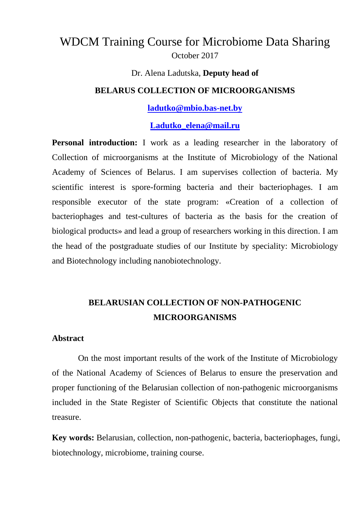# WDCM Training Course for Microbiome Data Sharing October 2017

#### Dr. Alena Ladutska, **Deputy head of**

### **BELARUS COLLECTION OF MICROORGANISMS**

#### **[ladutko@mbio.bas-net.by](mailto:ladutko@mbio.bas-net.by)**

#### **[Ladutko\\_elena@mail.ru](mailto:Ladutko_elena@mail.ru)**

**Personal introduction:** I work as a leading researcher in the laboratory of Collection of microorganisms at the Institute of Microbiology of the National Academy of Sciences of Belarus. I am supervises collection of bacteria. My scientific interest is spore-forming bacteria and their bacteriophages. I am responsible executor of the state program: «Creation of a collection of bacteriophages and test-cultures of bacteria as the basis for the creation of biological products»and lead a group of researchers working in this direction. I am the head of the postgraduate studies of our Institute by speciality: Microbiology and Biotechnology including nanobiotechnology.

## **BELARUSIAN COLLECTION OF NON-PATHOGENIC MICROORGANISMS**

#### **Abstract**

On the most important results of the work of the Institute of Microbiology of the National Academy of Sciences of Belarus to ensure the preservation and proper functioning of the Belarusian collection of non-pathogenic microorganisms included in the State Register of Scientific Objects that constitute the national treasure.

**Key words:** Belarusian, collection, non-pathogenic, bacteria, bacteriophages, fungi, biotechnology, microbiome, training course.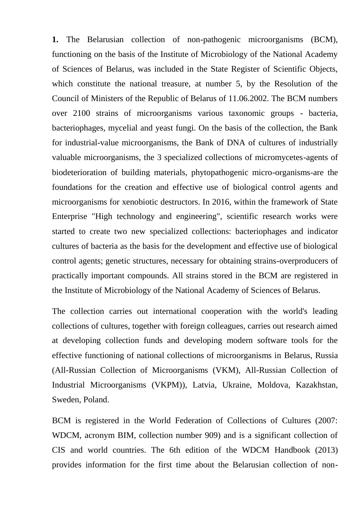**1.** The Belarusian collection of non-pathogenic microorganisms (BCM), functioning on the basis of the Institute of Microbiology of the National Academy of Sciences of Belarus, was included in the State Register of Scientific Objects, which constitute the national treasure, at number 5, by the Resolution of the Council of Ministers of the Republic of Belarus of 11.06.2002. The BCM numbers over 2100 strains of microorganisms various taxonomic groups - bacteria, bacteriophages, mycelial and yeast fungi. On the basis of the collection, the Bank for industrial-value microorganisms, the Bank of DNA of cultures of industrially valuable microorganisms, the 3 specialized collections of micromycetes-agents of biodeterioration of building materials, phytopathogenic micro-organisms-are the foundations for the creation and effective use of biological control agents and microorganisms for xenobiotic destructors. In 2016, within the framework of State Enterprise "High technology and engineering", scientific research works were started to create two new specialized collections: bacteriophages and indicator cultures of bacteria as the basis for the development and effective use of biological control agents; genetic structures, necessary for obtaining strains-overproducers of practically important compounds. All strains stored in the BCM are registered in the Institute of Microbiology of the National Academy of Sciences of Belarus.

The collection carries out international cooperation with the world's leading collections of cultures, together with foreign colleagues, carries out research aimed at developing collection funds and developing modern software tools for the effective functioning of national collections of microorganisms in Belarus, Russia (All-Russian Collection of Microorganisms (VKM), All-Russian Collection of Industrial Microorganisms (VKPM)), Latvia, Ukraine, Moldova, Kazakhstan, Sweden, Poland.

BCM is registered in the World Federation of Collections of Cultures (2007: WDCM, acronym BIM, collection number 909) and is a significant collection of CIS and world countries. The 6th edition of the WDCM Handbook (2013) provides information for the first time about the Belarusian collection of non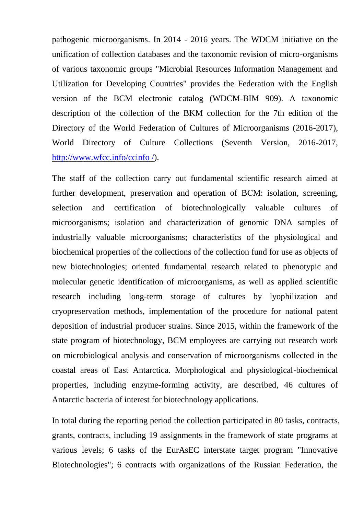pathogenic microorganisms. In 2014 - 2016 years. The WDCM initiative on the unification of collection databases and the taxonomic revision of micro-organisms of various taxonomic groups "Microbial Resources Information Management and Utilization for Developing Countries" provides the Federation with the English version of the BCM electronic catalog (WDCM-BIM 909). A taxonomic description of the collection of the BKM collection for the 7th edition of the Directory of the World Federation of Cultures of Microorganisms (2016-2017), World Directory of Culture Collections (Seventh Version, 2016-2017, [http://www.wfcc.info/ccinfo /\)](http://www.wfcc.info/ccinfo%20/).

The staff of the collection carry out fundamental scientific research aimed at further development, preservation and operation of BСM: isolation, screening, selection and certification of biotechnologically valuable cultures of microorganisms; isolation and characterization of genomic DNA samples of industrially valuable microorganisms; characteristics of the physiological and biochemical properties of the collections of the collection fund for use as objects of new biotechnologies; oriented fundamental research related to phenotypic and molecular genetic identification of microorganisms, as well as applied scientific research including long-term storage of cultures by lyophilization and cryopreservation methods, implementation of the procedure for national patent deposition of industrial producer strains. Since 2015, within the framework of the state program of biotechnology, BCM employees are carrying out research work on microbiological analysis and conservation of microorganisms collected in the coastal areas of East Antarctica. Morphological and physiological-biochemical properties, including enzyme-forming activity, are described, 46 cultures of Antarctic bacteria of interest for biotechnology applications.

In total during the reporting period the collection participated in 80 tasks, contracts, grants, contracts, including 19 assignments in the framework of state programs at various levels; 6 tasks of the EurAsEC interstate target program "Innovative Biotechnologies"; 6 contracts with organizations of the Russian Federation, the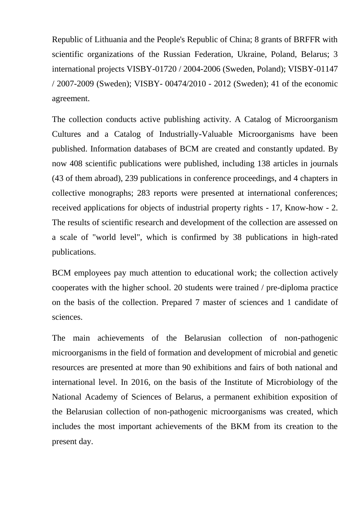Republic of Lithuania and the People's Republic of China; 8 grants of BRFFR with scientific organizations of the Russian Federation, Ukraine, Poland, Belarus; 3 international projects VISBY-01720 / 2004-2006 (Sweden, Poland); VISBY-01147 / 2007-2009 (Sweden); VISBY- 00474/2010 - 2012 (Sweden); 41 of the economic agreement.

The collection conducts active publishing activity. A Catalog of Microorganism Cultures and a Catalog of Industrially-Valuable Microorganisms have been published. Information databases of BCM are created and constantly updated. By now 408 scientific publications were published, including 138 articles in journals (43 of them abroad), 239 publications in conference proceedings, and 4 chapters in collective monographs; 283 reports were presented at international conferences; received applications for objects of industrial property rights - 17, Know-how - 2. The results of scientific research and development of the collection are assessed on a scale of "world level", which is confirmed by 38 publications in high-rated publications.

BCM employees pay much attention to educational work; the collection actively cooperates with the higher school. 20 students were trained / pre-diploma practice on the basis of the collection. Prepared 7 master of sciences and 1 candidate of sciences.

The main achievements of the Belarusian collection of non-pathogenic microorganisms in the field of formation and development of microbial and genetic resources are presented at more than 90 exhibitions and fairs of both national and international level. In 2016, on the basis of the Institute of Microbiology of the National Academy of Sciences of Belarus, a permanent exhibition exposition of the Belarusian collection of non-pathogenic microorganisms was created, which includes the most important achievements of the BKM from its creation to the present day.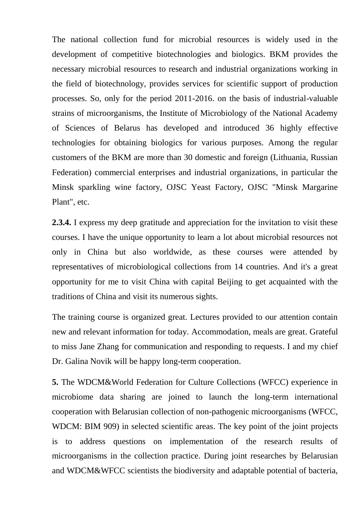The national collection fund for microbial resources is widely used in the development of competitive biotechnologies and biologics. BKM provides the necessary microbial resources to research and industrial organizations working in the field of biotechnology, provides services for scientific support of production processes. So, only for the period 2011-2016. on the basis of industrial-valuable strains of microorganisms, the Institute of Microbiology of the National Academy of Sciences of Belarus has developed and introduced 36 highly effective technologies for obtaining biologics for various purposes. Among the regular customers of the BKM are more than 30 domestic and foreign (Lithuania, Russian Federation) commercial enterprises and industrial organizations, in particular the Minsk sparkling wine factory, OJSC Yeast Factory, OJSC "Minsk Margarine Plant", etc.

**2.3.4.** I express my deep gratitude and appreciation for the invitation to visit these courses. I have the unique opportunity to learn a lot about microbial resources not only in China but also worldwide, as these courses were attended by representatives of microbiological collections from 14 countries. And it's a great opportunity for me to visit China with capital Beijing to get acquainted with the traditions of China and visit its numerous sights.

The training course is organized great. Lectures provided to our attention contain new and relevant information for today. Accommodation, meals are great. Grateful to miss Jane Zhang for communication and responding to requests. I and my chief Dr. Galina Novik will be happy long-term cooperation.

**5.** The WDCM&World Federation for Culture Collections (WFCC) experience in microbiome data sharing are joined to launch the long-term international cooperation with Belarusian collection of non-pathogenic microorganisms (WFCC, WDCM: BIM 909) in selected scientific areas. The key point of the joint projects is to address questions on implementation of the research results of microorganisms in the collection practice. During joint researches by Belarusian and WDCM&WFCC scientists the biodiversity and adaptable potential of bacteria,